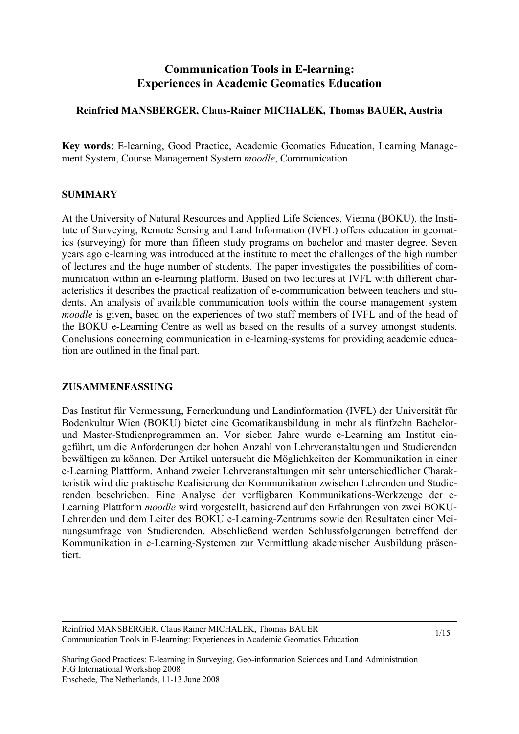# **Communication Tools in E-learning: Experiences in Academic Geomatics Education**

### **Reinfried MANSBERGER, Claus-Rainer MICHALEK, Thomas BAUER, Austria**

**Key words**: E-learning, Good Practice, Academic Geomatics Education, Learning Management System, Course Management System *moodle*, Communication

#### **SUMMARY**

At the University of Natural Resources and Applied Life Sciences, Vienna (BOKU), the Institute of Surveying, Remote Sensing and Land Information (IVFL) offers education in geomatics (surveying) for more than fifteen study programs on bachelor and master degree. Seven years ago e-learning was introduced at the institute to meet the challenges of the high number of lectures and the huge number of students. The paper investigates the possibilities of communication within an e-learning platform. Based on two lectures at IVFL with different characteristics it describes the practical realization of e-communication between teachers and students. An analysis of available communication tools within the course management system *moodle* is given, based on the experiences of two staff members of IVFL and of the head of the BOKU e-Learning Centre as well as based on the results of a survey amongst students. Conclusions concerning communication in e-learning-systems for providing academic education are outlined in the final part.

#### **ZUSAMMENFASSUNG**

Das Institut für Vermessung, Fernerkundung und Landinformation (IVFL) der Universität für Bodenkultur Wien (BOKU) bietet eine Geomatikausbildung in mehr als fünfzehn Bachelorund Master-Studienprogrammen an. Vor sieben Jahre wurde e-Learning am Institut eingeführt, um die Anforderungen der hohen Anzahl von Lehrveranstaltungen und Studierenden bewältigen zu können. Der Artikel untersucht die Möglichkeiten der Kommunikation in einer e-Learning Plattform. Anhand zweier Lehrveranstaltungen mit sehr unterschiedlicher Charakteristik wird die praktische Realisierung der Kommunikation zwischen Lehrenden und Studierenden beschrieben. Eine Analyse der verfügbaren Kommunikations-Werkzeuge der e-Learning Plattform *moodle* wird vorgestellt, basierend auf den Erfahrungen von zwei BOKU-Lehrenden und dem Leiter des BOKU e-Learning-Zentrums sowie den Resultaten einer Meinungsumfrage von Studierenden. Abschließend werden Schlussfolgerungen betreffend der Kommunikation in e-Learning-Systemen zur Vermittlung akademischer Ausbildung präsentiert.

Reinfried MANSBERGER, Claus Rainer MICHALEK, Thomas BAUER Communication Tools in E-learning: Experiences in Academic Geomatics Education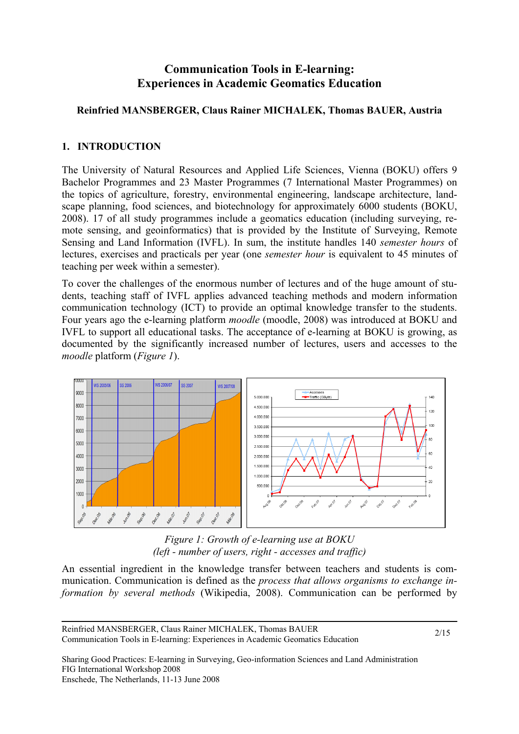# **Communication Tools in E-learning: Experiences in Academic Geomatics Education**

## **Reinfried MANSBERGER, Claus Rainer MICHALEK, Thomas BAUER, Austria**

## **1. INTRODUCTION**

The University of Natural Resources and Applied Life Sciences, Vienna (BOKU) offers 9 Bachelor Programmes and 23 Master Programmes (7 International Master Programmes) on the topics of agriculture, forestry, environmental engineering, landscape architecture, landscape planning, food sciences, and biotechnology for approximately 6000 students (BOKU, 2008). 17 of all study programmes include a geomatics education (including surveying, remote sensing, and geoinformatics) that is provided by the Institute of Surveying, Remote Sensing and Land Information (IVFL). In sum, the institute handles 140 *semester hours* of lectures, exercises and practicals per year (one *semester hour* is equivalent to 45 minutes of teaching per week within a semester).

To cover the challenges of the enormous number of lectures and of the huge amount of students, teaching staff of IVFL applies advanced teaching methods and modern information communication technology (ICT) to provide an optimal knowledge transfer to the students. Four years ago the e-learning platform *moodle* (moodle, 2008) was introduced at BOKU and IVFL to support all educational tasks. The acceptance of e-learning at BOKU is growing, as documented by the significantly increased number of lectures, users and accesses to the *moodle* platform (*Figure 1*).



*Figure 1: Growth of e-learning use at BOKU (left - number of users, right - accesses and traffic)* 

An essential ingredient in the knowledge transfer between teachers and students is communication. Communication is defined as the *process that allows organisms to exchange information by several methods* (Wikipedia, 2008). Communication can be performed by

Reinfried MANSBERGER, Claus Rainer MICHALEK, Thomas BAUER Communication Tools in E-learning: Experiences in Academic Geomatics Education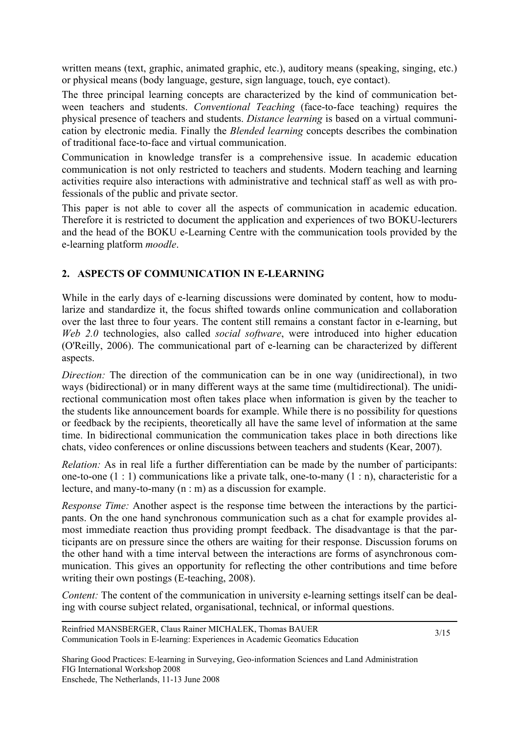written means (text, graphic, animated graphic, etc.), auditory means (speaking, singing, etc.) or physical means (body language, gesture, sign language, touch, eye contact).

The three principal learning concepts are characterized by the kind of communication between teachers and students. *Conventional Teaching* (face-to-face teaching) requires the physical presence of teachers and students. *Distance learning* is based on a virtual communication by electronic media. Finally the *Blended learning* concepts describes the combination of traditional face-to-face and virtual communication.

Communication in knowledge transfer is a comprehensive issue. In academic education communication is not only restricted to teachers and students. Modern teaching and learning activities require also interactions with administrative and technical staff as well as with professionals of the public and private sector.

This paper is not able to cover all the aspects of communication in academic education. Therefore it is restricted to document the application and experiences of two BOKU-lecturers and the head of the BOKU e-Learning Centre with the communication tools provided by the e-learning platform *moodle*.

## **2. ASPECTS OF COMMUNICATION IN E-LEARNING**

While in the early days of e-learning discussions were dominated by content, how to modularize and standardize it, the focus shifted towards online communication and collaboration over the last three to four years. The content still remains a constant factor in e-learning, but *Web 2.0* technologies, also called *social software*, were introduced into higher education (O'Reilly, 2006). The communicational part of e-learning can be characterized by different aspects.

*Direction:* The direction of the communication can be in one way (unidirectional), in two ways (bidirectional) or in many different ways at the same time (multidirectional). The unidirectional communication most often takes place when information is given by the teacher to the students like announcement boards for example. While there is no possibility for questions or feedback by the recipients, theoretically all have the same level of information at the same time. In bidirectional communication the communication takes place in both directions like chats, video conferences or online discussions between teachers and students (Kear, 2007).

*Relation:* As in real life a further differentiation can be made by the number of participants: one-to-one  $(1:1)$  communications like a private talk, one-to-many  $(1: n)$ , characteristic for a lecture, and many-to-many (n : m) as a discussion for example.

*Response Time:* Another aspect is the response time between the interactions by the participants. On the one hand synchronous communication such as a chat for example provides almost immediate reaction thus providing prompt feedback. The disadvantage is that the participants are on pressure since the others are waiting for their response. Discussion forums on the other hand with a time interval between the interactions are forms of asynchronous communication. This gives an opportunity for reflecting the other contributions and time before writing their own postings (E-teaching, 2008).

*Content:* The content of the communication in university e-learning settings itself can be dealing with course subject related, organisational, technical, or informal questions.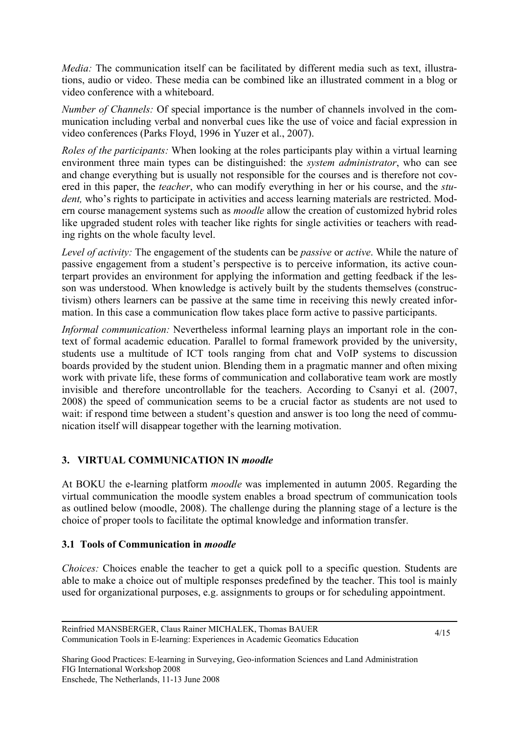*Media:* The communication itself can be facilitated by different media such as text, illustrations, audio or video. These media can be combined like an illustrated comment in a blog or video conference with a whiteboard.

*Number of Channels:* Of special importance is the number of channels involved in the communication including verbal and nonverbal cues like the use of voice and facial expression in video conferences (Parks Floyd, 1996 in Yuzer et al., 2007).

*Roles of the participants:* When looking at the roles participants play within a virtual learning environment three main types can be distinguished: the *system administrator*, who can see and change everything but is usually not responsible for the courses and is therefore not covered in this paper, the *teacher*, who can modify everything in her or his course, and the *student*, who's rights to participate in activities and access learning materials are restricted. Modern course management systems such as *moodle* allow the creation of customized hybrid roles like upgraded student roles with teacher like rights for single activities or teachers with reading rights on the whole faculty level.

*Level of activity:* The engagement of the students can be *passive* or *active*. While the nature of passive engagement from a student's perspective is to perceive information, its active counterpart provides an environment for applying the information and getting feedback if the lesson was understood. When knowledge is actively built by the students themselves (constructivism) others learners can be passive at the same time in receiving this newly created information. In this case a communication flow takes place form active to passive participants.

*Informal communication:* Nevertheless informal learning plays an important role in the context of formal academic education. Parallel to formal framework provided by the university, students use a multitude of ICT tools ranging from chat and VoIP systems to discussion boards provided by the student union. Blending them in a pragmatic manner and often mixing work with private life, these forms of communication and collaborative team work are mostly invisible and therefore uncontrollable for the teachers. According to Csanyi et al. (2007, 2008) the speed of communication seems to be a crucial factor as students are not used to wait: if respond time between a student's question and answer is too long the need of communication itself will disappear together with the learning motivation.

## **3. VIRTUAL COMMUNICATION IN** *moodle*

At BOKU the e-learning platform *moodle* was implemented in autumn 2005. Regarding the virtual communication the moodle system enables a broad spectrum of communication tools as outlined below (moodle, 2008). The challenge during the planning stage of a lecture is the choice of proper tools to facilitate the optimal knowledge and information transfer.

### **3.1 Tools of Communication in** *moodle*

*Choices:* Choices enable the teacher to get a quick poll to a specific question. Students are able to make a choice out of multiple responses predefined by the teacher. This tool is mainly used for organizational purposes, e.g. assignments to groups or for scheduling appointment.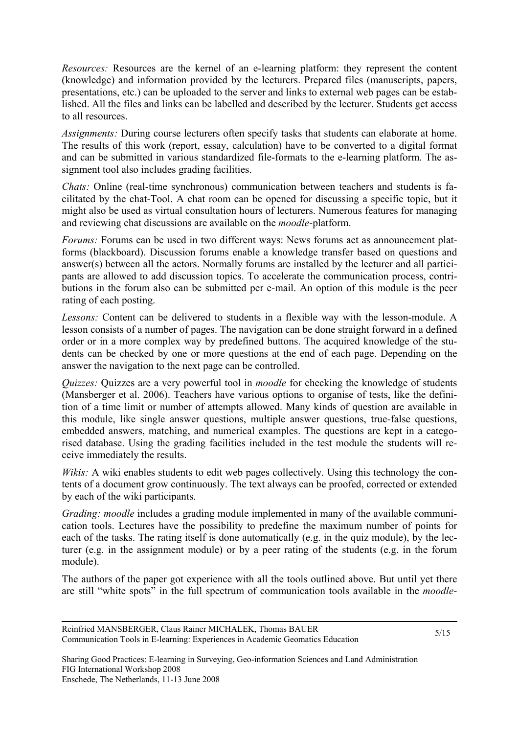*Resources:* Resources are the kernel of an e-learning platform: they represent the content (knowledge) and information provided by the lecturers. Prepared files (manuscripts, papers, presentations, etc.) can be uploaded to the server and links to external web pages can be established. All the files and links can be labelled and described by the lecturer. Students get access to all resources.

*Assignments:* During course lecturers often specify tasks that students can elaborate at home. The results of this work (report, essay, calculation) have to be converted to a digital format and can be submitted in various standardized file-formats to the e-learning platform. The assignment tool also includes grading facilities.

*Chats:* Online (real-time synchronous) communication between teachers and students is facilitated by the chat-Tool. A chat room can be opened for discussing a specific topic, but it might also be used as virtual consultation hours of lecturers. Numerous features for managing and reviewing chat discussions are available on the *moodle*-platform.

*Forums:* Forums can be used in two different ways: News forums act as announcement platforms (blackboard). Discussion forums enable a knowledge transfer based on questions and answer(s) between all the actors. Normally forums are installed by the lecturer and all participants are allowed to add discussion topics. To accelerate the communication process, contributions in the forum also can be submitted per e-mail. An option of this module is the peer rating of each posting.

*Lessons:* Content can be delivered to students in a flexible way with the lesson-module. A lesson consists of a number of pages. The navigation can be done straight forward in a defined order or in a more complex way by predefined buttons. The acquired knowledge of the students can be checked by one or more questions at the end of each page. Depending on the answer the navigation to the next page can be controlled.

*Quizzes:* Quizzes are a very powerful tool in *moodle* for checking the knowledge of students (Mansberger et al. 2006). Teachers have various options to organise of tests, like the definition of a time limit or number of attempts allowed. Many kinds of question are available in this module, like single answer questions, multiple answer questions, true-false questions, embedded answers, matching, and numerical examples. The questions are kept in a categorised database. Using the grading facilities included in the test module the students will receive immediately the results.

*Wikis:* A wiki enables students to edit web pages collectively. Using this technology the contents of a document grow continuously. The text always can be proofed, corrected or extended by each of the wiki participants.

*Grading: moodle* includes a grading module implemented in many of the available communication tools. Lectures have the possibility to predefine the maximum number of points for each of the tasks. The rating itself is done automatically (e.g. in the quiz module), by the lecturer (e.g. in the assignment module) or by a peer rating of the students (e.g. in the forum module).

The authors of the paper got experience with all the tools outlined above. But until yet there are still "white spots" in the full spectrum of communication tools available in the *moodle*-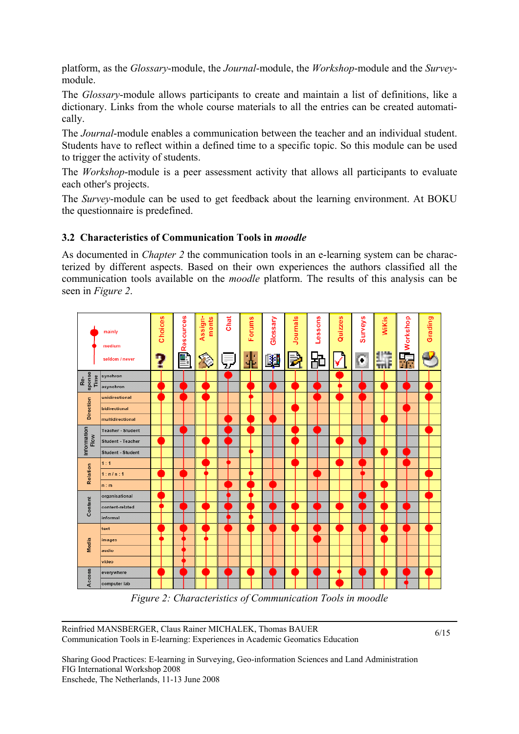platform, as the *Glossary*-module, the *Journal*-module, the *Workshop*-module and the *Survey*module.

The *Glossary*-module allows participants to create and maintain a list of definitions, like a dictionary. Links from the whole course materials to all the entries can be created automatically.

The *Journal*-module enables a communication between the teacher and an individual student. Students have to reflect within a defined time to a specific topic. So this module can be used to trigger the activity of students.

The *Workshop*-module is a peer assessment activity that allows all participants to evaluate each other's projects.

The *Survey*-module can be used to get feedback about the learning environment. At BOKU the questionnaire is predefined.

## **3.2 Characteristics of Communication Tools in** *moodle*

As documented in *Chapter 2* the communication tools in an e-learning system can be characterized by different aspects. Based on their own experiences the authors classified all the communication tools available on the *moodle* platform. The results of this analysis can be seen in *Figure 2*.



*Figure 2: Characteristics of Communication Tools in moodle* 

Reinfried MANSBERGER, Claus Rainer MICHALEK, Thomas BAUER Communication Tools in E-learning: Experiences in Academic Geomatics Education

6/15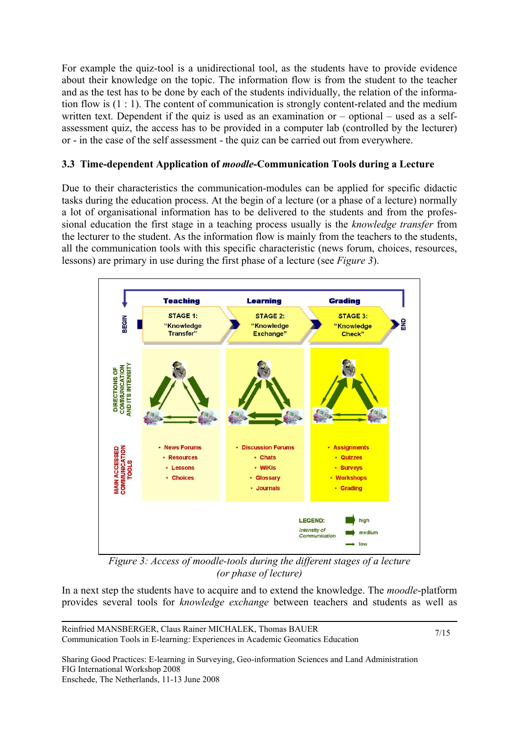For example the quiz-tool is a unidirectional tool, as the students have to provide evidence about their knowledge on the topic. The information flow is from the student to the teacher and as the test has to be done by each of the students individually, the relation of the information flow is (1 : 1). The content of communication is strongly content-related and the medium written text. Dependent if the quiz is used as an examination or – optional – used as a selfassessment quiz, the access has to be provided in a computer lab (controlled by the lecturer) or - in the case of the self assessment - the quiz can be carried out from everywhere.

## **3.3 Time-dependent Application of** *moodle***-Communication Tools during a Lecture**

Due to their characteristics the communication-modules can be applied for specific didactic tasks during the education process. At the begin of a lecture (or a phase of a lecture) normally a lot of organisational information has to be delivered to the students and from the professional education the first stage in a teaching process usually is the *knowledge transfer* from the lecturer to the student. As the information flow is mainly from the teachers to the students, all the communication tools with this specific characteristic (news forum, choices, resources, lessons) are primary in use during the first phase of a lecture (see *Figure 3*).



*Figure 3: Access of moodle-tools during the different stages of a lecture (or phase of lecture)* 

In a next step the students have to acquire and to extend the knowledge. The *moodle*-platform provides several tools for *knowledge exchange* between teachers and students as well as

Reinfried MANSBERGER, Claus Rainer MICHALEK, Thomas BAUER Communication Tools in E-learning: Experiences in Academic Geomatics Education

7/15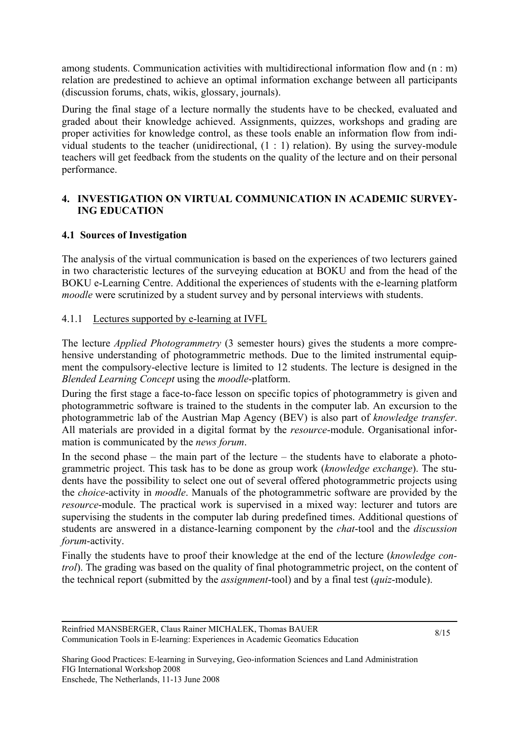among students. Communication activities with multidirectional information flow and (n : m) relation are predestined to achieve an optimal information exchange between all participants (discussion forums, chats, wikis, glossary, journals).

During the final stage of a lecture normally the students have to be checked, evaluated and graded about their knowledge achieved. Assignments, quizzes, workshops and grading are proper activities for knowledge control, as these tools enable an information flow from individual students to the teacher (unidirectional,  $(1 : 1)$  relation). By using the survey-module teachers will get feedback from the students on the quality of the lecture and on their personal performance.

## **4. INVESTIGATION ON VIRTUAL COMMUNICATION IN ACADEMIC SURVEY-ING EDUCATION**

## **4.1 Sources of Investigation**

The analysis of the virtual communication is based on the experiences of two lecturers gained in two characteristic lectures of the surveying education at BOKU and from the head of the BOKU e-Learning Centre. Additional the experiences of students with the e-learning platform *moodle* were scrutinized by a student survey and by personal interviews with students.

## 4.1.1 Lectures supported by e-learning at IVFL

The lecture *Applied Photogrammetry* (3 semester hours) gives the students a more comprehensive understanding of photogrammetric methods. Due to the limited instrumental equipment the compulsory-elective lecture is limited to 12 students. The lecture is designed in the *Blended Learning Concept* using the *moodle*-platform.

During the first stage a face-to-face lesson on specific topics of photogrammetry is given and photogrammetric software is trained to the students in the computer lab. An excursion to the photogrammetric lab of the Austrian Map Agency (BEV) is also part of *knowledge transfer*. All materials are provided in a digital format by the *resource*-module. Organisational information is communicated by the *news forum*.

In the second phase  $-$  the main part of the lecture  $-$  the students have to elaborate a photogrammetric project. This task has to be done as group work (*knowledge exchange*). The students have the possibility to select one out of several offered photogrammetric projects using the *choice*-activity in *moodle*. Manuals of the photogrammetric software are provided by the *resource*-module. The practical work is supervised in a mixed way: lecturer and tutors are supervising the students in the computer lab during predefined times. Additional questions of students are answered in a distance-learning component by the *chat*-tool and the *discussion forum*-activity.

Finally the students have to proof their knowledge at the end of the lecture (*knowledge control*). The grading was based on the quality of final photogrammetric project, on the content of the technical report (submitted by the *assignment*-tool) and by a final test (*quiz*-module).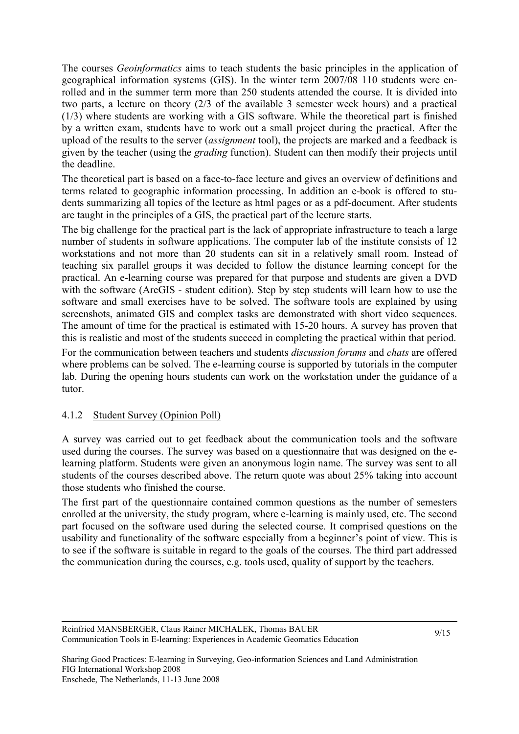The courses *Geoinformatics* aims to teach students the basic principles in the application of geographical information systems (GIS). In the winter term 2007/08 110 students were enrolled and in the summer term more than 250 students attended the course. It is divided into two parts, a lecture on theory (2/3 of the available 3 semester week hours) and a practical (1/3) where students are working with a GIS software. While the theoretical part is finished by a written exam, students have to work out a small project during the practical. After the upload of the results to the server (*assignment* tool), the projects are marked and a feedback is given by the teacher (using the *grading* function). Student can then modify their projects until the deadline.

The theoretical part is based on a face-to-face lecture and gives an overview of definitions and terms related to geographic information processing. In addition an e-book is offered to students summarizing all topics of the lecture as html pages or as a pdf-document. After students are taught in the principles of a GIS, the practical part of the lecture starts.

The big challenge for the practical part is the lack of appropriate infrastructure to teach a large number of students in software applications. The computer lab of the institute consists of 12 workstations and not more than 20 students can sit in a relatively small room. Instead of teaching six parallel groups it was decided to follow the distance learning concept for the practical. An e-learning course was prepared for that purpose and students are given a DVD with the software (ArcGIS - student edition). Step by step students will learn how to use the software and small exercises have to be solved. The software tools are explained by using screenshots, animated GIS and complex tasks are demonstrated with short video sequences. The amount of time for the practical is estimated with 15-20 hours. A survey has proven that this is realistic and most of the students succeed in completing the practical within that period.

For the communication between teachers and students *discussion forums* and *chats* are offered where problems can be solved. The e-learning course is supported by tutorials in the computer lab. During the opening hours students can work on the workstation under the guidance of a tutor.

### 4.1.2 Student Survey (Opinion Poll)

A survey was carried out to get feedback about the communication tools and the software used during the courses. The survey was based on a questionnaire that was designed on the elearning platform. Students were given an anonymous login name. The survey was sent to all students of the courses described above. The return quote was about 25% taking into account those students who finished the course.

The first part of the questionnaire contained common questions as the number of semesters enrolled at the university, the study program, where e-learning is mainly used, etc. The second part focused on the software used during the selected course. It comprised questions on the usability and functionality of the software especially from a beginner's point of view. This is to see if the software is suitable in regard to the goals of the courses. The third part addressed the communication during the courses, e.g. tools used, quality of support by the teachers.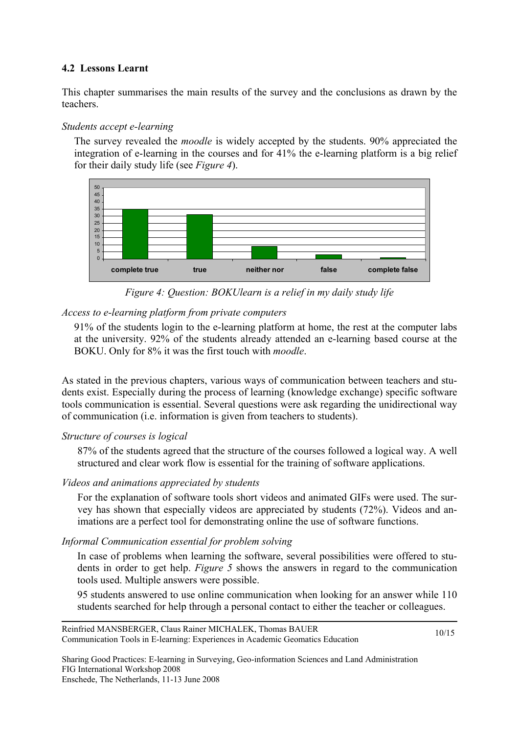## **4.2 Lessons Learnt**

This chapter summarises the main results of the survey and the conclusions as drawn by the teachers.

#### *Students accept e-learning*

The survey revealed the *moodle* is widely accepted by the students. 90% appreciated the integration of e-learning in the courses and for 41% the e-learning platform is a big relief for their daily study life (see *Figure 4*).



*Figure 4: Question: BOKUlearn is a relief in my daily study life* 

### *Access to e-learning platform from private computers*

91% of the students login to the e-learning platform at home, the rest at the computer labs at the university. 92% of the students already attended an e-learning based course at the BOKU. Only for 8% it was the first touch with *moodle*.

As stated in the previous chapters, various ways of communication between teachers and students exist. Especially during the process of learning (knowledge exchange) specific software tools communication is essential. Several questions were ask regarding the unidirectional way of communication (i.e. information is given from teachers to students).

### *Structure of courses is logical*

87% of the students agreed that the structure of the courses followed a logical way. A well structured and clear work flow is essential for the training of software applications.

### *Videos and animations appreciated by students*

For the explanation of software tools short videos and animated GIFs were used. The survey has shown that especially videos are appreciated by students (72%). Videos and animations are a perfect tool for demonstrating online the use of software functions.

### *Informal Communication essential for problem solving*

In case of problems when learning the software, several possibilities were offered to students in order to get help. *Figure 5* shows the answers in regard to the communication tools used. Multiple answers were possible.

95 students answered to use online communication when looking for an answer while 110 students searched for help through a personal contact to either the teacher or colleagues.

Reinfried MANSBERGER, Claus Rainer MICHALEK, Thomas BAUER Communication Tools in E-learning: Experiences in Academic Geomatics Education

10/15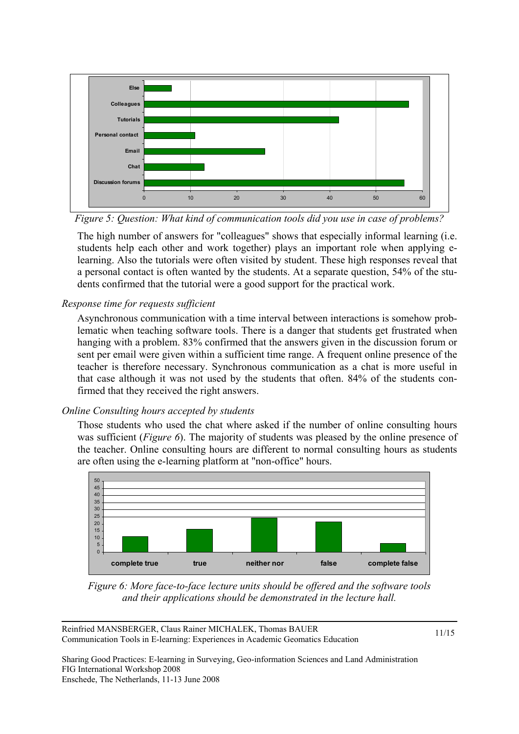

*Figure 5: Question: What kind of communication tools did you use in case of problems?*

The high number of answers for "colleagues" shows that especially informal learning (i.e. students help each other and work together) plays an important role when applying elearning. Also the tutorials were often visited by student. These high responses reveal that a personal contact is often wanted by the students. At a separate question, 54% of the students confirmed that the tutorial were a good support for the practical work.

### *Response time for requests sufficient*

Asynchronous communication with a time interval between interactions is somehow problematic when teaching software tools. There is a danger that students get frustrated when hanging with a problem. 83% confirmed that the answers given in the discussion forum or sent per email were given within a sufficient time range. A frequent online presence of the teacher is therefore necessary. Synchronous communication as a chat is more useful in that case although it was not used by the students that often. 84% of the students confirmed that they received the right answers.

### *Online Consulting hours accepted by students*

Those students who used the chat where asked if the number of online consulting hours was sufficient (*Figure 6*). The majority of students was pleased by the online presence of the teacher. Online consulting hours are different to normal consulting hours as students are often using the e-learning platform at "non-office" hours.



*Figure 6: More face-to-face lecture units should be offered and the software tools and their applications should be demonstrated in the lecture hall.* 

Reinfried MANSBERGER, Claus Rainer MICHALEK, Thomas BAUER Communication Tools in E-learning: Experiences in Academic Geomatics Education

11/15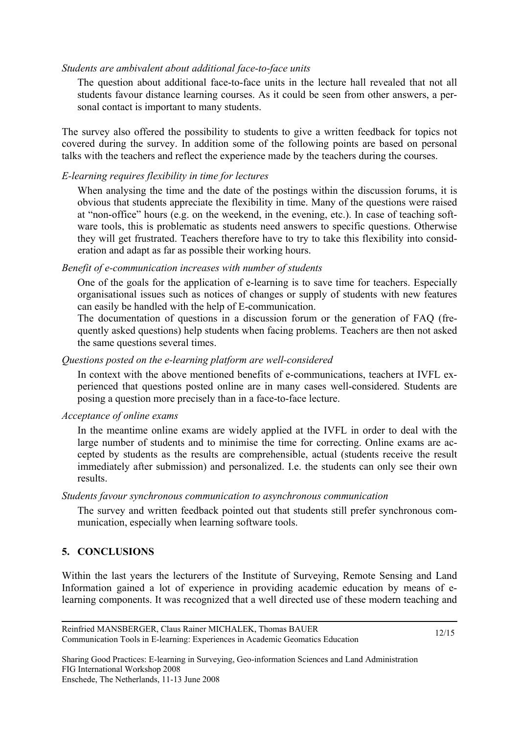#### *Students are ambivalent about additional face-to-face units*

The question about additional face-to-face units in the lecture hall revealed that not all students favour distance learning courses. As it could be seen from other answers, a personal contact is important to many students.

The survey also offered the possibility to students to give a written feedback for topics not covered during the survey. In addition some of the following points are based on personal talks with the teachers and reflect the experience made by the teachers during the courses.

#### *E-learning requires flexibility in time for lectures*

When analysing the time and the date of the postings within the discussion forums, it is obvious that students appreciate the flexibility in time. Many of the questions were raised at "non-office" hours (e.g. on the weekend, in the evening, etc.). In case of teaching software tools, this is problematic as students need answers to specific questions. Otherwise they will get frustrated. Teachers therefore have to try to take this flexibility into consideration and adapt as far as possible their working hours.

#### *Benefit of e-communication increases with number of students*

One of the goals for the application of e-learning is to save time for teachers. Especially organisational issues such as notices of changes or supply of students with new features can easily be handled with the help of E-communication.

The documentation of questions in a discussion forum or the generation of FAQ (frequently asked questions) help students when facing problems. Teachers are then not asked the same questions several times.

#### *Questions posted on the e-learning platform are well-considered*

In context with the above mentioned benefits of e-communications, teachers at IVFL experienced that questions posted online are in many cases well-considered. Students are posing a question more precisely than in a face-to-face lecture.

#### *Acceptance of online exams*

In the meantime online exams are widely applied at the IVFL in order to deal with the large number of students and to minimise the time for correcting. Online exams are accepted by students as the results are comprehensible, actual (students receive the result immediately after submission) and personalized. I.e. the students can only see their own results.

#### *Students favour synchronous communication to asynchronous communication*

The survey and written feedback pointed out that students still prefer synchronous communication, especially when learning software tools.

### **5. CONCLUSIONS**

Within the last years the lecturers of the Institute of Surveying, Remote Sensing and Land Information gained a lot of experience in providing academic education by means of elearning components. It was recognized that a well directed use of these modern teaching and

12/15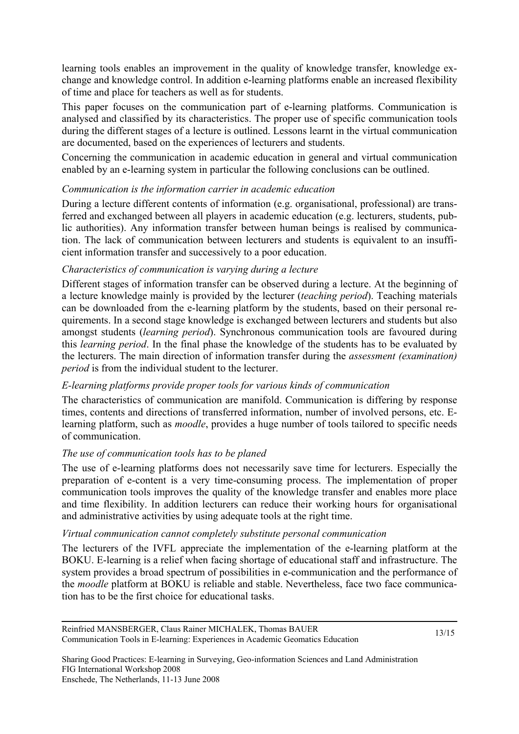learning tools enables an improvement in the quality of knowledge transfer, knowledge exchange and knowledge control. In addition e-learning platforms enable an increased flexibility of time and place for teachers as well as for students.

This paper focuses on the communication part of e-learning platforms. Communication is analysed and classified by its characteristics. The proper use of specific communication tools during the different stages of a lecture is outlined. Lessons learnt in the virtual communication are documented, based on the experiences of lecturers and students.

Concerning the communication in academic education in general and virtual communication enabled by an e-learning system in particular the following conclusions can be outlined.

### *Communication is the information carrier in academic education*

During a lecture different contents of information (e.g. organisational, professional) are transferred and exchanged between all players in academic education (e.g. lecturers, students, public authorities). Any information transfer between human beings is realised by communication. The lack of communication between lecturers and students is equivalent to an insufficient information transfer and successively to a poor education.

#### *Characteristics of communication is varying during a lecture*

Different stages of information transfer can be observed during a lecture. At the beginning of a lecture knowledge mainly is provided by the lecturer (*teaching period*). Teaching materials can be downloaded from the e-learning platform by the students, based on their personal requirements. In a second stage knowledge is exchanged between lecturers and students but also amongst students (*learning period*). Synchronous communication tools are favoured during this *learning period*. In the final phase the knowledge of the students has to be evaluated by the lecturers. The main direction of information transfer during the *assessment (examination) period* is from the individual student to the lecturer.

#### *E-learning platforms provide proper tools for various kinds of communication*

The characteristics of communication are manifold. Communication is differing by response times, contents and directions of transferred information, number of involved persons, etc. Elearning platform, such as *moodle*, provides a huge number of tools tailored to specific needs of communication.

#### *The use of communication tools has to be planed*

The use of e-learning platforms does not necessarily save time for lecturers. Especially the preparation of e-content is a very time-consuming process. The implementation of proper communication tools improves the quality of the knowledge transfer and enables more place and time flexibility. In addition lecturers can reduce their working hours for organisational and administrative activities by using adequate tools at the right time.

#### *Virtual communication cannot completely substitute personal communication*

The lecturers of the IVFL appreciate the implementation of the e-learning platform at the BOKU. E-learning is a relief when facing shortage of educational staff and infrastructure. The system provides a broad spectrum of possibilities in e-communication and the performance of the *moodle* platform at BOKU is reliable and stable. Nevertheless, face two face communication has to be the first choice for educational tasks.

Reinfried MANSBERGER, Claus Rainer MICHALEK, Thomas BAUER Communication Tools in E-learning: Experiences in Academic Geomatics Education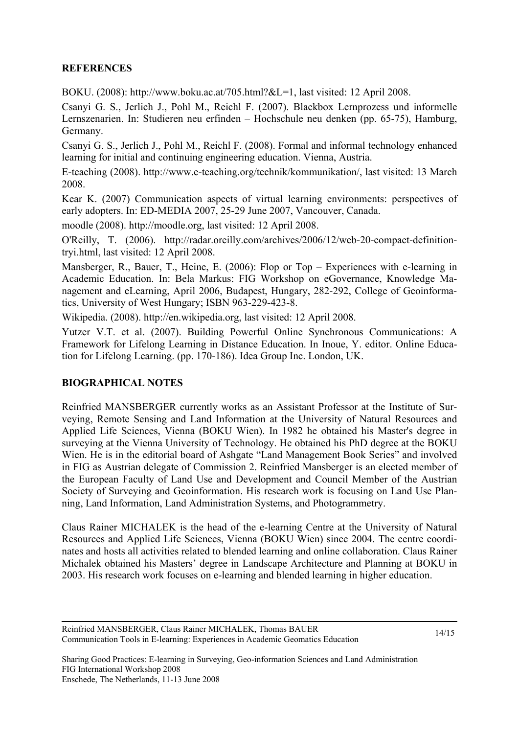## **REFERENCES**

BOKU. (2008): http://www.boku.ac.at/705.html?&L=1, last visited: 12 April 2008.

Csanyi G. S., Jerlich J., Pohl M., Reichl F. (2007). Blackbox Lernprozess und informelle Lernszenarien. In: Studieren neu erfinden – Hochschule neu denken (pp. 65-75), Hamburg, Germany.

Csanyi G. S., Jerlich J., Pohl M., Reichl F. (2008). Formal and informal technology enhanced learning for initial and continuing engineering education. Vienna, Austria.

E-teaching (2008). http://www.e-teaching.org/technik/kommunikation/, last visited: 13 March 2008.

Kear K. (2007) Communication aspects of virtual learning environments: perspectives of early adopters. In: ED-MEDIA 2007, 25-29 June 2007, Vancouver, Canada.

moodle (2008). http://moodle.org, last visited: 12 April 2008.

O'Reilly, T. (2006). http://radar.oreilly.com/archives/2006/12/web-20-compact-definitiontryi.html, last visited: 12 April 2008.

Mansberger, R., Bauer, T., Heine, E. (2006): Flop or Top – Experiences with e-learning in Academic Education. In: Bela Markus: FIG Workshop on eGovernance, Knowledge Management and eLearning, April 2006, Budapest, Hungary, 282-292, College of Geoinformatics, University of West Hungary; ISBN 963-229-423-8.

Wikipedia. (2008). http://en.wikipedia.org, last visited: 12 April 2008.

Yutzer V.T. et al. (2007). Building Powerful Online Synchronous Communications: A Framework for Lifelong Learning in Distance Education. In Inoue, Y. editor. Online Education for Lifelong Learning. (pp. 170-186). Idea Group Inc. London, UK.

### **BIOGRAPHICAL NOTES**

Reinfried MANSBERGER currently works as an Assistant Professor at the Institute of Surveying, Remote Sensing and Land Information at the University of Natural Resources and Applied Life Sciences, Vienna (BOKU Wien). In 1982 he obtained his Master's degree in surveying at the Vienna University of Technology. He obtained his PhD degree at the BOKU Wien. He is in the editorial board of Ashgate "Land Management Book Series" and involved in FIG as Austrian delegate of Commission 2. Reinfried Mansberger is an elected member of the European Faculty of Land Use and Development and Council Member of the Austrian Society of Surveying and Geoinformation. His research work is focusing on Land Use Planning, Land Information, Land Administration Systems, and Photogrammetry.

Claus Rainer MICHALEK is the head of the e-learning Centre at the University of Natural Resources and Applied Life Sciences, Vienna (BOKU Wien) since 2004. The centre coordinates and hosts all activities related to blended learning and online collaboration. Claus Rainer Michalek obtained his Masters' degree in Landscape Architecture and Planning at BOKU in 2003. His research work focuses on e-learning and blended learning in higher education.

Reinfried MANSBERGER, Claus Rainer MICHALEK, Thomas BAUER Communication Tools in E-learning: Experiences in Academic Geomatics Education

14/15